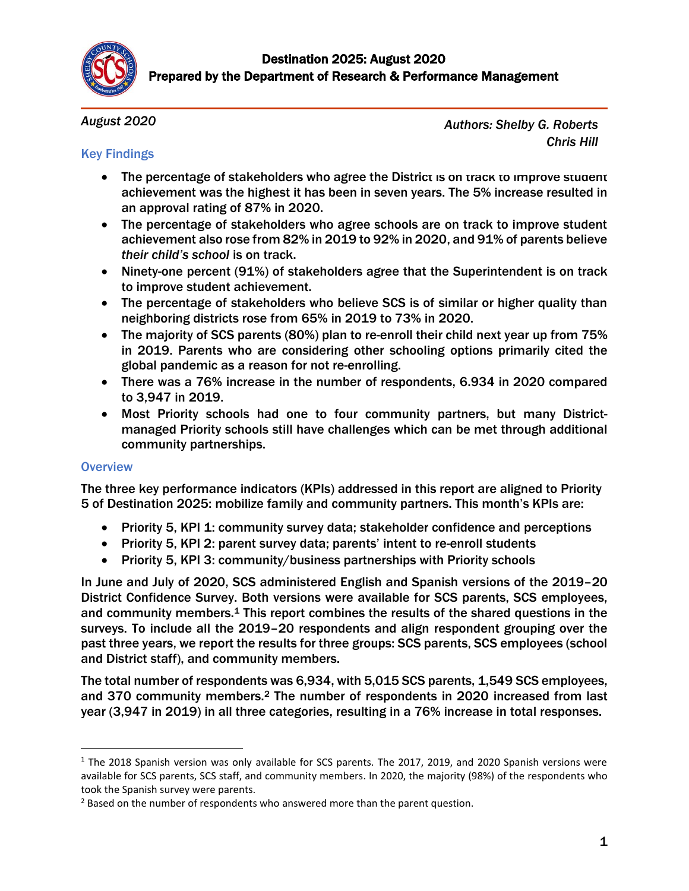

*August 2020*

Key Findings

*Authors: Shelby G. Roberts Chris Hill*

## • The percentage of stakeholders who agree the District is on track to improve student achievement was the highest it has been in seven years. The 5% increase resulted in an approval rating of 87% in 2020.

- The percentage of stakeholders who agree schools are on track to improve student achievement also rose from 82% in 2019 to 92% in 2020, and 91% of parents believe *their child's school* is on track.
- Ninety-one percent (91%) of stakeholders agree that the Superintendent is on track to improve student achievement.
- The percentage of stakeholders who believe SCS is of similar or higher quality than neighboring districts rose from 65% in 2019 to 73% in 2020.
- The majority of SCS parents (80%) plan to re-enroll their child next year up from 75% in 2019. Parents who are considering other schooling options primarily cited the global pandemic as a reason for not re-enrolling.
- There was a 76% increase in the number of respondents, 6.934 in 2020 compared to 3,947 in 2019.
- Most Priority schools had one to four community partners, but many Districtmanaged Priority schools still have challenges which can be met through additional community partnerships.

## **Overview**

 $\overline{a}$ 

The three key performance indicators (KPIs) addressed in this report are aligned to Priority 5 of Destination 2025: mobilize family and community partners. This month's KPIs are:

- Priority 5, KPI 1: community survey data; stakeholder confidence and perceptions
- Priority 5, KPI 2: parent survey data; parents' intent to re-enroll students
- Priority 5, KPI 3: community/business partnerships with Priority schools

In June and July of 2020, SCS administered English and Spanish versions of the 2019–20 District Confidence Survey. Both versions were available for SCS parents, SCS employees, and community members. <sup>1</sup> This report combines the results of the shared questions in the surveys. To include all the 2019–20 respondents and align respondent grouping over the past three years, we report the results for three groups: SCS parents, SCS employees (school and District staff), and community members.

The total number of respondents was 6,934, with 5,015 SCS parents, 1,549 SCS employees, and 370 community members.<sup>2</sup> The number of respondents in 2020 increased from last year (3,947 in 2019) in all three categories, resulting in a 76% increase in total responses.

<sup>&</sup>lt;sup>1</sup> The 2018 Spanish version was only available for SCS parents. The 2017, 2019, and 2020 Spanish versions were available for SCS parents, SCS staff, and community members. In 2020, the majority (98%) of the respondents who took the Spanish survey were parents.

<sup>&</sup>lt;sup>2</sup> Based on the number of respondents who answered more than the parent question.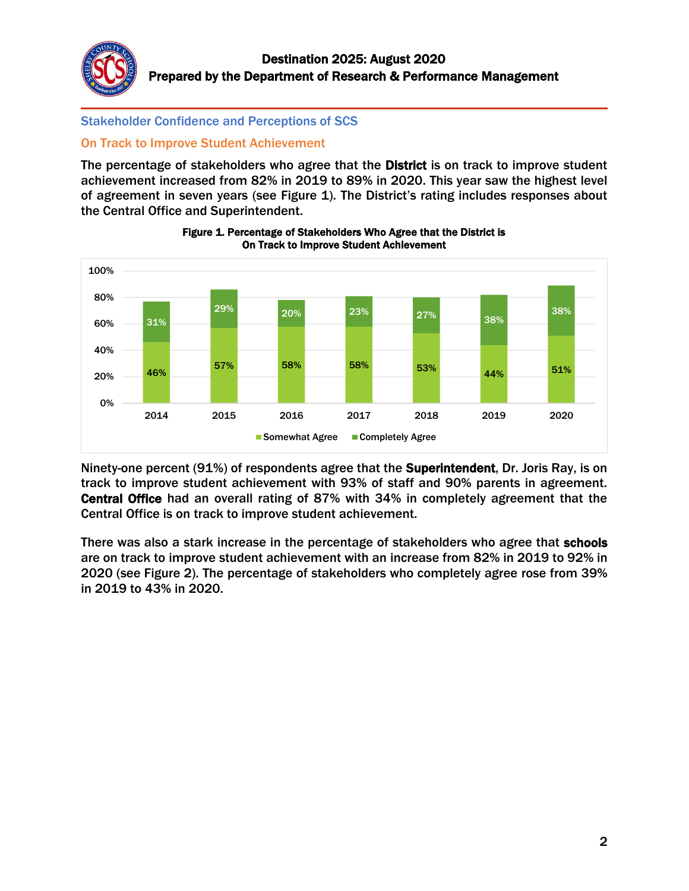

Stakeholder Confidence and Perceptions of SCS

## On Track to Improve Student Achievement

The percentage of stakeholders who agree that the **District** is on track to improve student achievement increased from 82% in 2019 to 89% in 2020. This year saw the highest level of agreement in seven years (see Figure 1). The District's rating includes responses about the Central Office and Superintendent.





Ninety-one percent (91%) of respondents agree that the Superintendent, Dr. Joris Ray, is on track to improve student achievement with 93% of staff and 90% parents in agreement. Central Office had an overall rating of 87% with 34% in completely agreement that the Central Office is on track to improve student achievement.

There was also a stark increase in the percentage of stakeholders who agree that schools are on track to improve student achievement with an increase from 82% in 2019 to 92% in 2020 (see Figure 2). The percentage of stakeholders who completely agree rose from 39% in 2019 to 43% in 2020.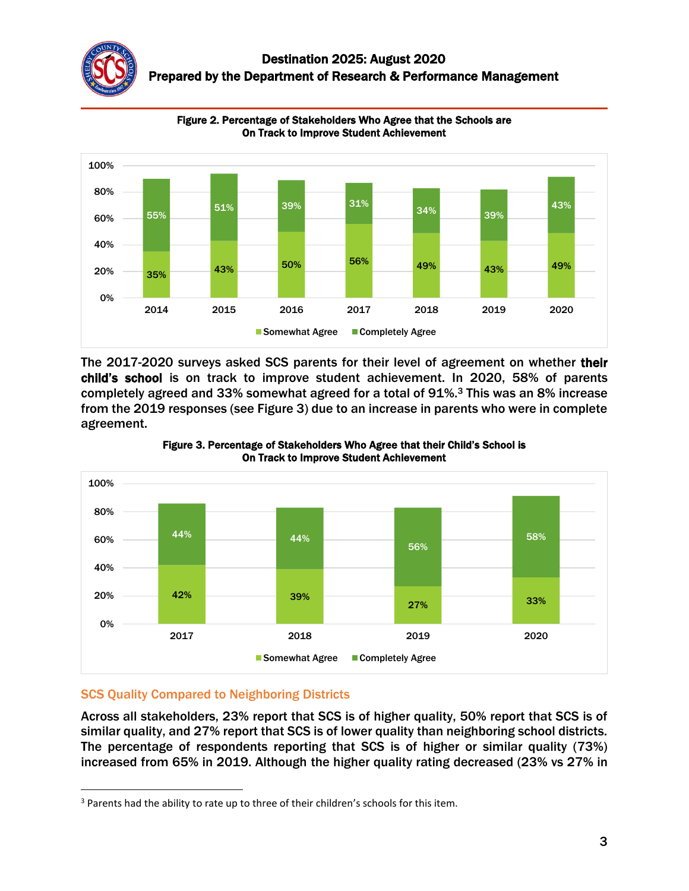



Figure 2. Percentage of Stakeholders Who Agree that the Schools are On Track to Improve Student Achievement

The 2017-2020 surveys asked SCS parents for their level of agreement on whether their child's school is on track to improve student achievement. In 2020, 58% of parents completely agreed and 33% somewhat agreed for a total of 91%. <sup>3</sup> This was an 8% increase from the 2019 responses (see Figure 3) due to an increase in parents who were in complete agreement.





# SCS Quality Compared to Neighboring Districts

Across all stakeholders, 23% report that SCS is of higher quality, 50% report that SCS is of similar quality, and 27% report that SCS is of lower quality than neighboring school districts. The percentage of respondents reporting that SCS is of higher or similar quality (73%) increased from 65% in 2019. Although the higher quality rating decreased (23% vs 27% in

 $\overline{a}$ <sup>3</sup> Parents had the ability to rate up to three of their children's schools for this item.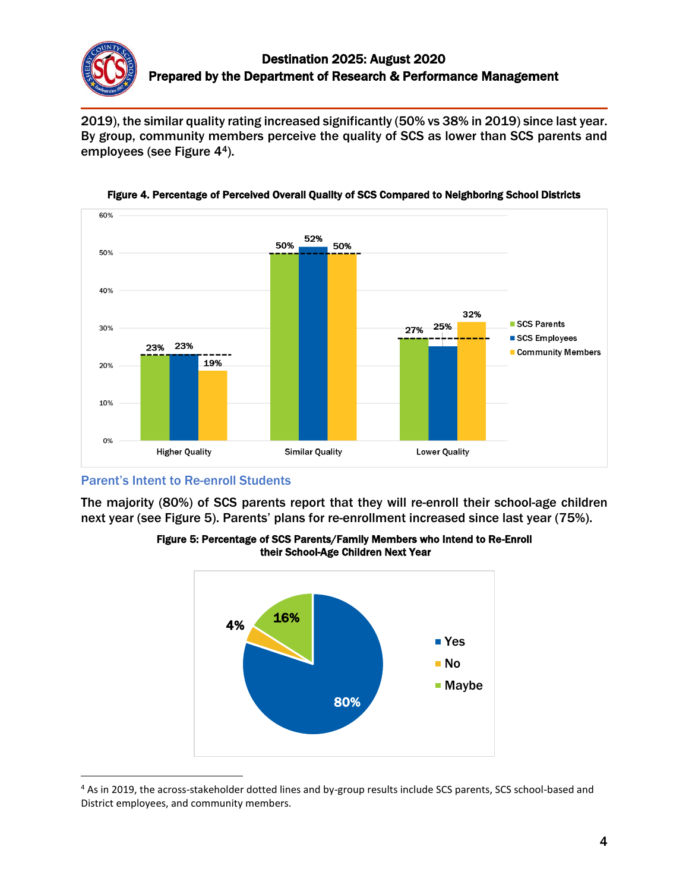

2019), the similar quality rating increased significantly (50% vs 38% in 2019) since last year. By group, community members perceive the quality of SCS as lower than SCS parents and employees (see Figure 44).



Figure 4. Percentage of Perceived Overall Quality of SCS Compared to Neighboring School Districts

Parent's Intent to Re-enroll Students

 $\overline{a}$ 

The majority (80%) of SCS parents report that they will re-enroll their school-age children next year (see Figure 5). Parents' plans for re-enrollment increased since last year (75%).



Figure 5: Percentage of SCS Parents/Family Members who Intend to Re-Enroll their School-Age Children Next Year

<sup>&</sup>lt;sup>4</sup> As in 2019, the across-stakeholder dotted lines and by-group results include SCS parents, SCS school-based and District employees, and community members.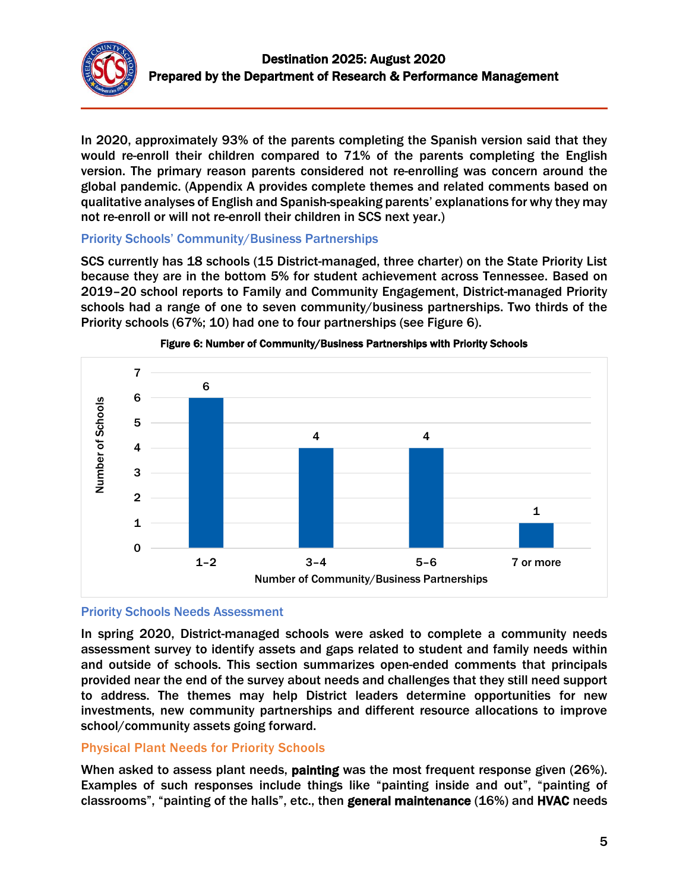

In 2020, approximately 93% of the parents completing the Spanish version said that they would re-enroll their children compared to 71% of the parents completing the English version. The primary reason parents considered not re-enrolling was concern around the global pandemic. (Appendix A provides complete themes and related comments based on qualitative analyses of English and Spanish-speaking parents' explanations for why they may not re-enroll or will not re-enroll their children in SCS next year.)

#### Priority Schools' Community/Business Partnerships

SCS currently has 18 schools (15 District-managed, three charter) on the State Priority List because they are in the bottom 5% for student achievement across Tennessee. Based on 2019–20 school reports to Family and Community Engagement, District-managed Priority schools had a range of one to seven community/business partnerships. Two thirds of the Priority schools (67%; 10) had one to four partnerships (see Figure 6).





## Priority Schools Needs Assessment

In spring 2020, District-managed schools were asked to complete a community needs assessment survey to identify assets and gaps related to student and family needs within and outside of schools. This section summarizes open-ended comments that principals provided near the end of the survey about needs and challenges that they still need support to address. The themes may help District leaders determine opportunities for new investments, new community partnerships and different resource allocations to improve school/community assets going forward.

## Physical Plant Needs for Priority Schools

When asked to assess plant needs, painting was the most frequent response given (26%). Examples of such responses include things like "painting inside and out", "painting of classrooms", "painting of the halls", etc., then general maintenance (16%) and HVAC needs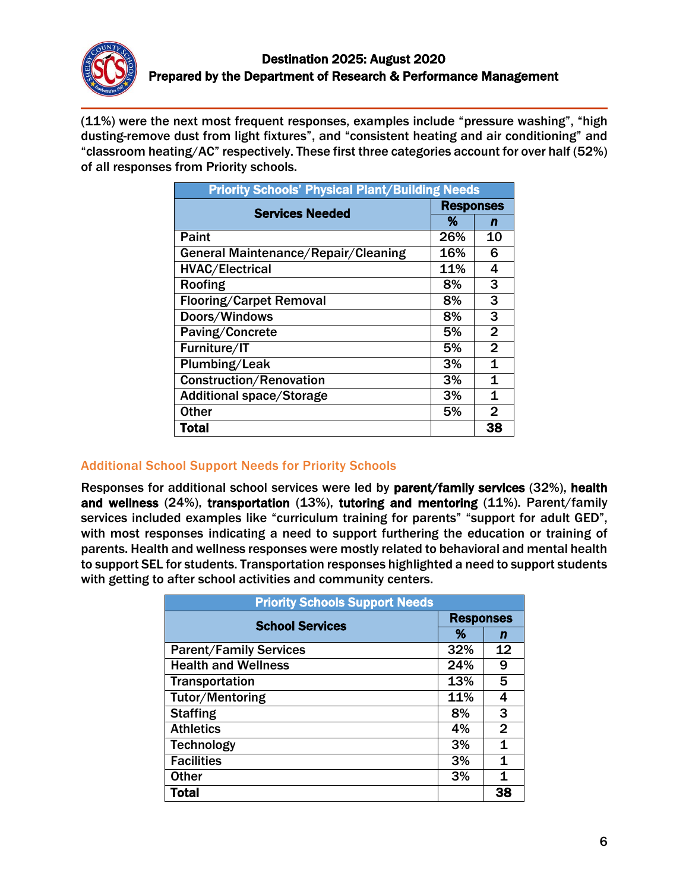

(11%) were the next most frequent responses, examples include "pressure washing", "high dusting-remove dust from light fixtures", and "consistent heating and air conditioning" and "classroom heating/AC" respectively. These first three categories account for over half (52%) of all responses from Priority schools.

| <b>Priority Schools' Physical Plant/Building Needs</b> |                  |                |  |
|--------------------------------------------------------|------------------|----------------|--|
| <b>Services Needed</b>                                 | <b>Responses</b> |                |  |
|                                                        | %                | n              |  |
| Paint                                                  | 26%              | 10             |  |
| General Maintenance/Repair/Cleaning                    | 16%              | 6              |  |
| <b>HVAC/Electrical</b>                                 | 11%              | 4              |  |
| Roofing                                                | 8%               | 3              |  |
| <b>Flooring/Carpet Removal</b>                         | 8%               | 3              |  |
| Doors/Windows                                          | 8%               | 3              |  |
| Paving/Concrete                                        | 5%               | $\overline{2}$ |  |
| Furniture/IT                                           | 5%               | $\overline{2}$ |  |
| Plumbing/Leak                                          | 3%               | 1              |  |
| <b>Construction/Renovation</b>                         | 3%               | 1              |  |
| <b>Additional space/Storage</b>                        | 3%               | 1              |  |
| <b>Other</b>                                           | 5%               | $\overline{2}$ |  |
| Total                                                  |                  | 38             |  |

## Additional School Support Needs for Priority Schools

Responses for additional school services were led by parent/family services (32%), health and wellness (24%), transportation (13%), tutoring and mentoring (11%). Parent/family services included examples like "curriculum training for parents" "support for adult GED", with most responses indicating a need to support furthering the education or training of parents. Health and wellness responses were mostly related to behavioral and mental health to support SEL for students. Transportation responses highlighted a need to support students with getting to after school activities and community centers.

| <b>Priority Schools Support Needs</b> |                  |                |
|---------------------------------------|------------------|----------------|
| <b>School Services</b>                | <b>Responses</b> |                |
|                                       | ℅                | n              |
| <b>Parent/Family Services</b>         | 32%              | 12             |
| <b>Health and Wellness</b>            | 24%              | 9              |
| <b>Transportation</b>                 | 13%              | 5              |
| <b>Tutor/Mentoring</b>                | 11%              | 4              |
| <b>Staffing</b>                       | 8%               | 3              |
| <b>Athletics</b>                      | 4%               | $\overline{2}$ |
| <b>Technology</b>                     | 3%               | 1              |
| <b>Facilities</b>                     | 3%               | 1              |
| <b>Other</b>                          | 3%               | 1              |
| <b>Total</b>                          |                  | 38             |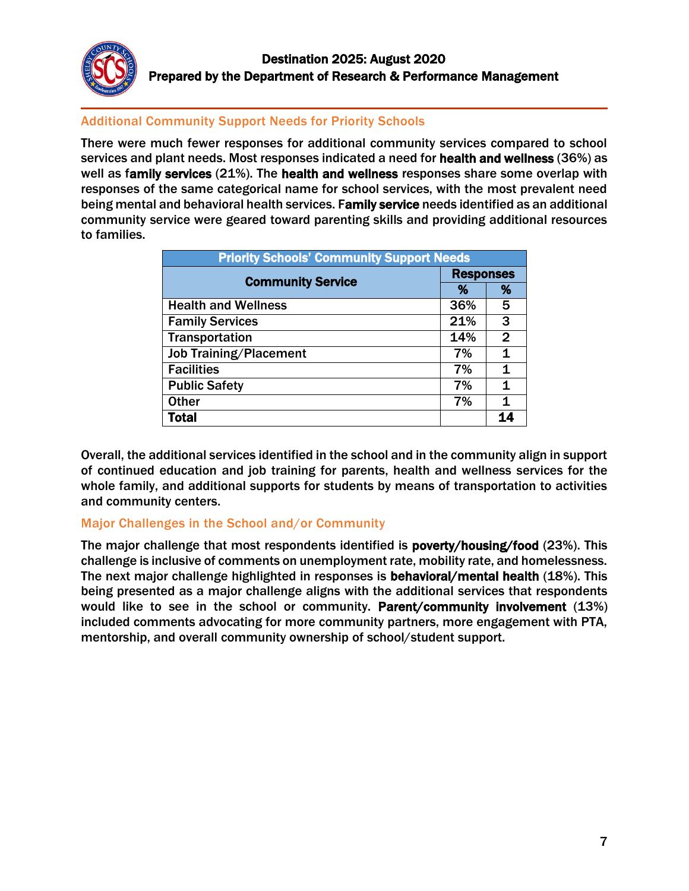

## Additional Community Support Needs for Priority Schools

There were much fewer responses for additional community services compared to school services and plant needs. Most responses indicated a need for health and wellness (36%) as well as family services (21%). The health and wellness responses share some overlap with responses of the same categorical name for school services, with the most prevalent need being mental and behavioral health services. Family service needs identified as an additional community service were geared toward parenting skills and providing additional resources to families.

| <b>Priority Schools' Community Support Needs</b> |                  |              |  |
|--------------------------------------------------|------------------|--------------|--|
| <b>Community Service</b>                         | <b>Responses</b> |              |  |
|                                                  | %                | %            |  |
| <b>Health and Wellness</b>                       | 36%              | 5            |  |
| <b>Family Services</b>                           | 21%              | 3            |  |
| <b>Transportation</b>                            | 14%              | $\mathbf{2}$ |  |
| <b>Job Training/Placement</b>                    | 7%               | 1            |  |
| <b>Facilities</b>                                | 7%               | 1            |  |
| <b>Public Safety</b>                             | 7%               | 1            |  |
| <b>Other</b>                                     | 7%               | 1            |  |
| <b>Total</b>                                     |                  |              |  |

Overall, the additional services identified in the school and in the community align in support of continued education and job training for parents, health and wellness services for the whole family, and additional supports for students by means of transportation to activities and community centers.

## Major Challenges in the School and/or Community

The major challenge that most respondents identified is poverty/housing/food (23%). This challenge is inclusive of comments on unemployment rate, mobility rate, and homelessness. The next major challenge highlighted in responses is behavioral/mental health (18%). This being presented as a major challenge aligns with the additional services that respondents would like to see in the school or community. Parent/community involvement (13%) included comments advocating for more community partners, more engagement with PTA, mentorship, and overall community ownership of school/student support.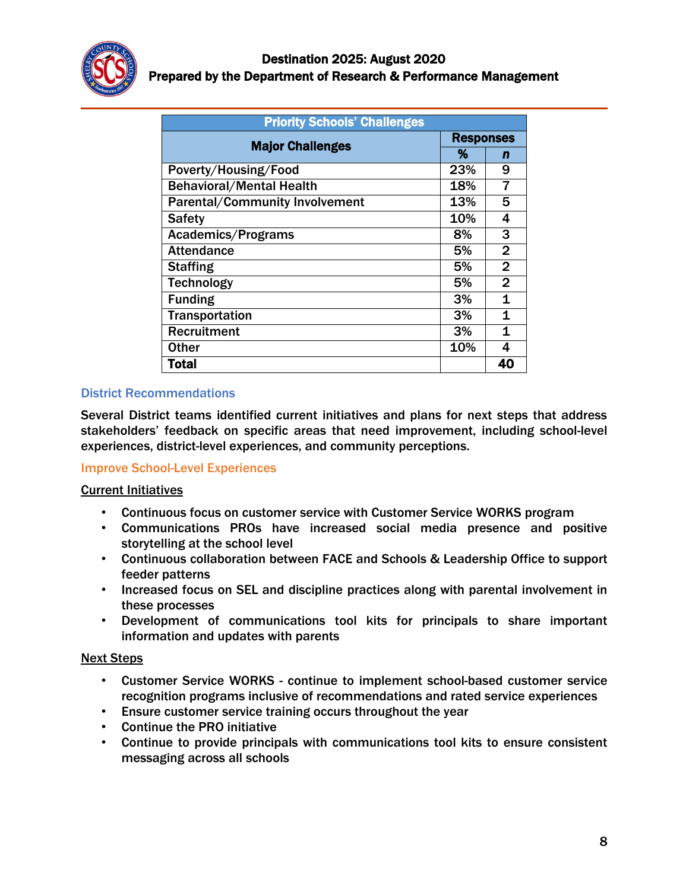

| <b>Priority Schools' Challenges</b>   |                  |                |
|---------------------------------------|------------------|----------------|
| <b>Major Challenges</b>               | <b>Responses</b> |                |
|                                       | %                | n              |
| Poverty/Housing/Food                  | 23%              | 9              |
| <b>Behavioral/Mental Health</b>       | 18%              | 7              |
| <b>Parental/Community Involvement</b> | 13%              | 5              |
| <b>Safety</b>                         | 10%              | 4              |
| Academics/Programs                    | 8%               | 3              |
| <b>Attendance</b>                     | 5%               | $\overline{2}$ |
| <b>Staffing</b>                       | 5%               | $\mathbf{2}$   |
| <b>Technology</b>                     | 5%               | $\overline{2}$ |
| <b>Funding</b>                        | 3%               | 1              |
| <b>Transportation</b>                 | 3%               | 1              |
| <b>Recruitment</b>                    | 3%               | 1              |
| <b>Other</b>                          | 10%              | 4              |
| <b>Total</b>                          |                  | 40             |

## District Recommendations

Several District teams identified current initiatives and plans for next steps that address stakeholders' feedback on specific areas that need improvement, including school-level experiences, district-level experiences, and community perceptions.

## Improve School-Level Experiences

## Current Initiatives

- Continuous focus on customer service with Customer Service WORKS program
- Communications PROs have increased social media presence and positive storytelling at the school level
- Continuous collaboration between FACE and Schools & Leadership Office to support feeder patterns
- Increased focus on SEL and discipline practices along with parental involvement in these processes
- Development of communications tool kits for principals to share important information and updates with parents

#### Next Steps

- Customer Service WORKS continue to implement school-based customer service recognition programs inclusive of recommendations and rated service experiences
- Ensure customer service training occurs throughout the year
- Continue the PRO initiative
- Continue to provide principals with communications tool kits to ensure consistent messaging across all schools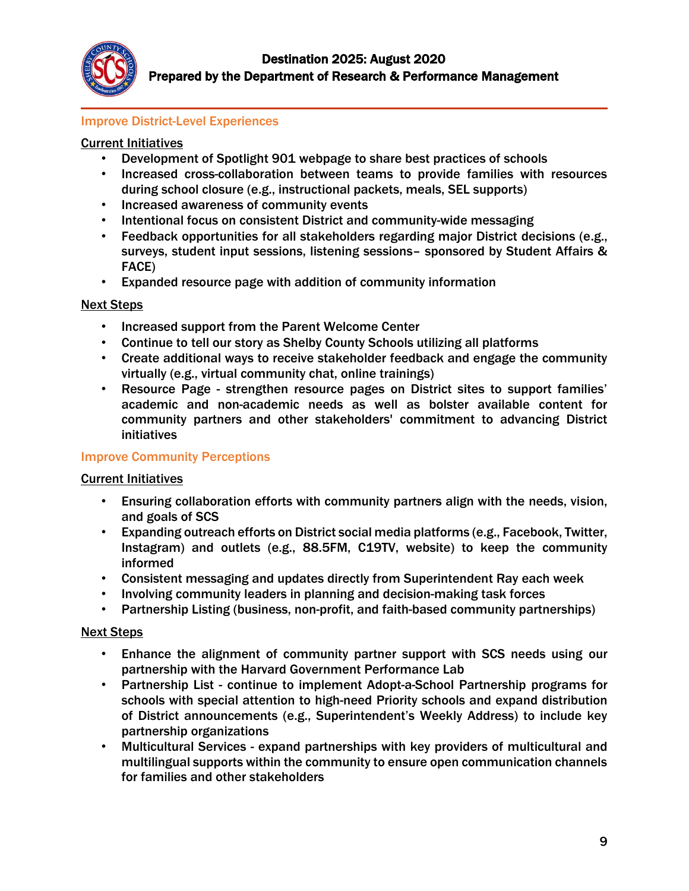

### Improve District-Level Experiences

#### Current Initiatives

- Development of Spotlight 901 webpage to share best practices of schools
- Increased cross-collaboration between teams to provide families with resources during school closure (e.g., instructional packets, meals, SEL supports)
- Increased awareness of community events
- Intentional focus on consistent District and community-wide messaging
- Feedback opportunities for all stakeholders regarding major District decisions (e.g., surveys, student input sessions, listening sessions– sponsored by Student Affairs & FACE)
- Expanded resource page with addition of community information

#### Next Steps

- Increased support from the Parent Welcome Center
- Continue to tell our story as Shelby County Schools utilizing all platforms
- Create additional ways to receive stakeholder feedback and engage the community virtually (e.g., virtual community chat, online trainings)
- Resource Page strengthen resource pages on District sites to support families' academic and non-academic needs as well as bolster available content for community partners and other stakeholders' commitment to advancing District initiatives

#### Improve Community Perceptions

#### Current Initiatives

- Ensuring collaboration efforts with community partners align with the needs, vision, and goals of SCS
- Expanding outreach efforts on District social media platforms (e.g., Facebook, Twitter, Instagram) and outlets (e.g., 88.5FM, C19TV, website) to keep the community informed
- Consistent messaging and updates directly from Superintendent Ray each week
- Involving community leaders in planning and decision-making task forces
- Partnership Listing (business, non-profit, and faith-based community partnerships)

#### Next Steps

- Enhance the alignment of community partner support with SCS needs using our partnership with the Harvard Government Performance Lab
- Partnership List continue to implement Adopt-a-School Partnership programs for schools with special attention to high-need Priority schools and expand distribution of District announcements (e.g., Superintendent's Weekly Address) to include key partnership organizations
- Multicultural Services expand partnerships with key providers of multicultural and multilingual supports within the community to ensure open communication channels for families and other stakeholders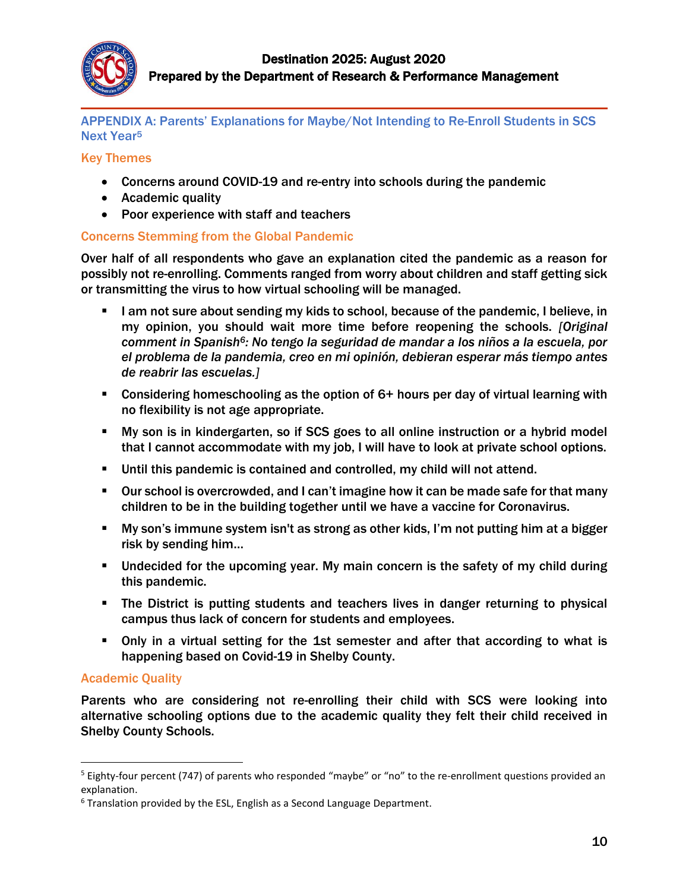

### APPENDIX A: Parents' Explanations for Maybe/Not Intending to Re-Enroll Students in SCS Next Year<sup>5</sup>

#### Key Themes

- Concerns around COVID-19 and re-entry into schools during the pandemic
- Academic quality
- Poor experience with staff and teachers

## Concerns Stemming from the Global Pandemic

Over half of all respondents who gave an explanation cited the pandemic as a reason for possibly not re-enrolling. Comments ranged from worry about children and staff getting sick or transmitting the virus to how virtual schooling will be managed.

- I am not sure about sending my kids to school, because of the pandemic, I believe, in my opinion, you should wait more time before reopening the schools. *[Original comment in Spanish6: No tengo la seguridad de mandar a los niños a la escuela, por el problema de la pandemia, creo en mi opinión, debieran esperar más tiempo antes de reabrir las escuelas.]*
- Considering homeschooling as the option of 6+ hours per day of virtual learning with no flexibility is not age appropriate.
- My son is in kindergarten, so if SCS goes to all online instruction or a hybrid model that I cannot accommodate with my job, I will have to look at private school options.
- Until this pandemic is contained and controlled, my child will not attend.
- Our school is overcrowded, and I can't imagine how it can be made safe for that many children to be in the building together until we have a vaccine for Coronavirus.
- My son's immune system isn't as strong as other kids, I'm not putting him at a bigger risk by sending him…
- Undecided for the upcoming year. My main concern is the safety of my child during this pandemic.
- The District is putting students and teachers lives in danger returning to physical campus thus lack of concern for students and employees.
- Only in a virtual setting for the 1st semester and after that according to what is happening based on Covid-19 in Shelby County.

## Academic Quality

 $\overline{a}$ 

Parents who are considering not re-enrolling their child with SCS were looking into alternative schooling options due to the academic quality they felt their child received in Shelby County Schools.

<sup>&</sup>lt;sup>5</sup> Eighty-four percent (747) of parents who responded "maybe" or "no" to the re-enrollment questions provided an explanation.

<sup>6</sup> Translation provided by the ESL, English as a Second Language Department.